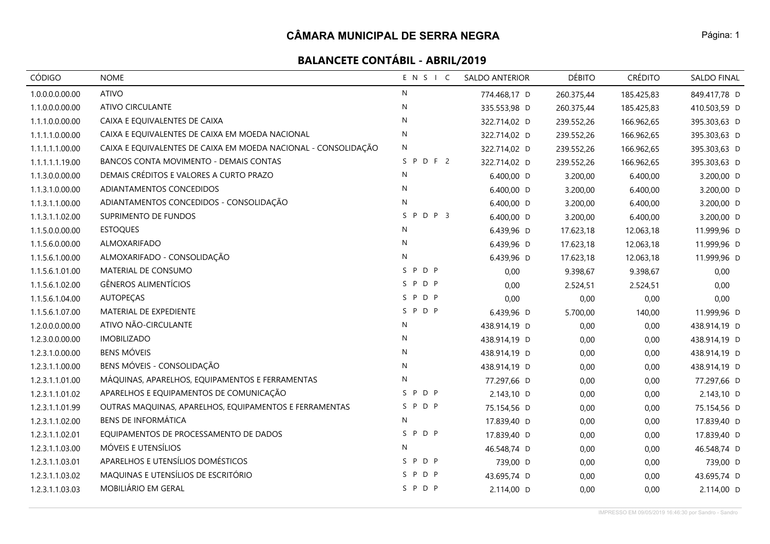| CÓDIGO          | <b>NOME</b>                                                    | ENSIC               | <b>SALDO ANTERIOR</b> | <b>DÉBITO</b> | <b>CRÉDITO</b> | <b>SALDO FINAL</b> |
|-----------------|----------------------------------------------------------------|---------------------|-----------------------|---------------|----------------|--------------------|
| 1.0.0.0.0.00.00 | <b>ATIVO</b>                                                   | N                   | 774.468,17 D          | 260.375,44    | 185.425,83     | 849.417,78 D       |
| 1.1.0.0.0.00.00 | <b>ATIVO CIRCULANTE</b>                                        | $\mathsf{N}$        | 335.553,98 D          | 260.375,44    | 185.425,83     | 410.503,59 D       |
| 1.1.1.0.0.00.00 | CAIXA E EQUIVALENTES DE CAIXA                                  | $\mathsf{N}$        | 322.714,02 D          | 239.552,26    | 166.962,65     | 395.303,63 D       |
| 1.1.1.1.0.00.00 | CAIXA E EQUIVALENTES DE CAIXA EM MOEDA NACIONAL                | N                   | 322.714,02 D          | 239.552,26    | 166.962,65     | 395.303,63 D       |
| 1.1.1.1.1.00.00 | CAIXA E EQUIVALENTES DE CAIXA EM MOEDA NACIONAL - CONSOLIDAÇÃO | N                   | 322.714,02 D          | 239.552,26    | 166.962,65     | 395.303,63 D       |
| 1.1.1.1.1.19.00 | BANCOS CONTA MOVIMENTO - DEMAIS CONTAS                         | SPDF2               | 322.714,02 D          | 239.552,26    | 166.962,65     | 395.303,63 D       |
| 1.1.3.0.0.00.00 | DEMAIS CRÉDITOS E VALORES A CURTO PRAZO                        | N                   | 6.400,00 D            | 3.200,00      | 6.400,00       | 3.200,00 D         |
| 1.1.3.1.0.00.00 | ADIANTAMENTOS CONCEDIDOS                                       | N                   | 6.400,00 D            | 3.200,00      | 6.400,00       | 3.200,00 D         |
| 1.1.3.1.1.00.00 | ADIANTAMENTOS CONCEDIDOS - CONSOLIDAÇÃO                        | N                   | 6.400,00 D            | 3.200,00      | 6.400,00       | 3.200,00 D         |
| 1.1.3.1.1.02.00 | SUPRIMENTO DE FUNDOS                                           | $S$ $P$ $D$ $P$ $3$ | 6.400,00 D            | 3.200,00      | 6.400,00       | 3.200,00 D         |
| 1.1.5.0.0.00.00 | <b>ESTOQUES</b>                                                | N                   | 6.439,96 D            | 17.623,18     | 12.063,18      | 11.999,96 D        |
| 1.1.5.6.0.00.00 | ALMOXARIFADO                                                   | N                   | 6.439,96 D            | 17.623,18     | 12.063,18      | 11.999,96 D        |
| 1.1.5.6.1.00.00 | ALMOXARIFADO - CONSOLIDAÇÃO                                    | N                   | 6.439,96 D            | 17.623,18     | 12.063,18      | 11.999,96 D        |
| 1.1.5.6.1.01.00 | MATERIAL DE CONSUMO                                            | SPDP                | 0,00                  | 9.398,67      | 9.398,67       | 0,00               |
| 1.1.5.6.1.02.00 | <b>GÊNEROS ALIMENTÍCIOS</b>                                    | SPDP                | 0,00                  | 2.524,51      | 2.524,51       | 0,00               |
| 1.1.5.6.1.04.00 | <b>AUTOPEÇAS</b>                                               | SPDP                | 0,00                  | 0,00          | 0,00           | 0,00               |
| 1.1.5.6.1.07.00 | MATERIAL DE EXPEDIENTE                                         | SPDP                | 6.439,96 D            | 5.700,00      | 140,00         | 11.999,96 D        |
| 1.2.0.0.0.00.00 | ATIVO NÃO-CIRCULANTE                                           | N                   | 438.914,19 D          | 0,00          | 0,00           | 438.914,19 D       |
| 1.2.3.0.0.00.00 | <b>IMOBILIZADO</b>                                             | N                   | 438.914,19 D          | 0,00          | 0,00           | 438.914,19 D       |
| 1.2.3.1.0.00.00 | <b>BENS MÓVEIS</b>                                             | N                   | 438.914,19 D          | 0,00          | 0,00           | 438.914,19 D       |
| 1.2.3.1.1.00.00 | BENS MÓVEIS - CONSOLIDAÇÃO                                     | N                   | 438.914,19 D          | 0,00          | 0,00           | 438.914,19 D       |
| 1.2.3.1.1.01.00 | MÁQUINAS, APARELHOS, EQUIPAMENTOS E FERRAMENTAS                | N                   | 77.297,66 D           | 0,00          | 0,00           | 77.297,66 D        |
| 1.2.3.1.1.01.02 | APARELHOS E EQUIPAMENTOS DE COMUNICAÇÃO                        | D P<br>S P          | 2.143,10 D            | 0,00          | 0,00           | 2.143,10 D         |
| 1.2.3.1.1.01.99 | OUTRAS MAQUINAS, APARELHOS, EQUIPAMENTOS E FERRAMENTAS         | SPDP                | 75.154,56 D           | 0,00          | 0,00           | 75.154,56 D        |
| 1.2.3.1.1.02.00 | <b>BENS DE INFORMÁTICA</b>                                     | N                   | 17.839,40 D           | 0,00          | 0,00           | 17.839,40 D        |
| 1.2.3.1.1.02.01 | EQUIPAMENTOS DE PROCESSAMENTO DE DADOS                         | SPDP                | 17.839,40 D           | 0,00          | 0,00           | 17.839,40 D        |
| 1.2.3.1.1.03.00 | MÓVEIS E UTENSÍLIOS                                            | N                   | 46.548,74 D           | 0,00          | 0,00           | 46.548,74 D        |
| 1.2.3.1.1.03.01 | APARELHOS E UTENSÍLIOS DOMÉSTICOS                              | P D P<br>S.         | 739,00 D              | 0,00          | 0,00           | 739,00 D           |
| 1.2.3.1.1.03.02 | MAQUINAS E UTENSÍLIOS DE ESCRITÓRIO                            | P D P<br>S.         | 43.695,74 D           | 0,00          | 0,00           | 43.695,74 D        |
| 1.2.3.1.1.03.03 | MOBILIÁRIO EM GERAL                                            | SPDP                | 2.114,00 D            | 0,00          | 0,00           | 2.114,00 D         |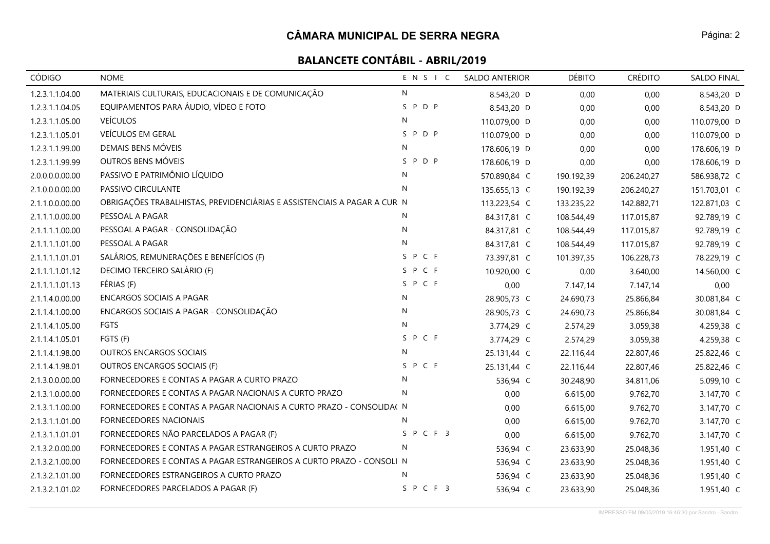| <b>CÓDIGO</b>   | <b>NOME</b>                                                              | ENSIC        | <b>SALDO ANTERIOR</b> | <b>DÉBITO</b> | <b>CRÉDITO</b> | <b>SALDO FINAL</b> |
|-----------------|--------------------------------------------------------------------------|--------------|-----------------------|---------------|----------------|--------------------|
| 1.2.3.1.1.04.00 | MATERIAIS CULTURAIS, EDUCACIONAIS E DE COMUNICAÇÃO                       | N            | 8.543,20 D            | 0,00          | 0,00           | 8.543,20 D         |
| 1.2.3.1.1.04.05 | EQUIPAMENTOS PARA ÁUDIO, VÍDEO E FOTO                                    | SPDP         | 8.543,20 D            | 0,00          | 0,00           | 8.543,20 D         |
| 1.2.3.1.1.05.00 | <b>VEÍCULOS</b>                                                          | N            | 110.079,00 D          | 0,00          | 0,00           | 110.079,00 D       |
| 1.2.3.1.1.05.01 | VEÍCULOS EM GERAL                                                        | SPDP         | 110.079,00 D          | 0,00          | 0,00           | 110.079,00 D       |
| 1.2.3.1.1.99.00 | DEMAIS BENS MÓVEIS                                                       | N            | 178.606,19 D          | 0,00          | 0,00           | 178.606,19 D       |
| 1.2.3.1.1.99.99 | OUTROS BENS MÓVEIS                                                       | S P D P      | 178.606,19 D          | 0,00          | 0,00           | 178.606,19 D       |
| 2.0.0.0.0.00.00 | PASSIVO E PATRIMÔNIO LÍQUIDO                                             | $\mathsf{N}$ | 570.890,84 C          | 190.192,39    | 206.240,27     | 586.938,72 C       |
| 2.1.0.0.0.00.00 | PASSIVO CIRCULANTE                                                       | $\mathsf{N}$ | 135.655,13 C          | 190.192,39    | 206.240,27     | 151.703,01 C       |
| 2.1.1.0.0.00.00 | OBRIGAÇÕES TRABALHISTAS, PREVIDENCIÁRIAS E ASSISTENCIAIS A PAGAR A CUR N |              | 113.223,54 C          | 133.235,22    | 142.882,71     | 122.871,03 C       |
| 2.1.1.1.0.00.00 | PESSOAL A PAGAR                                                          | N            | 84.317,81 C           | 108.544,49    | 117.015,87     | 92.789,19 C        |
| 2.1.1.1.1.00.00 | PESSOAL A PAGAR - CONSOLIDAÇÃO                                           | N            | 84.317,81 C           | 108.544,49    | 117.015,87     | 92.789,19 C        |
| 2.1.1.1.1.01.00 | PESSOAL A PAGAR                                                          | $\mathsf{N}$ | 84.317,81 C           | 108.544,49    | 117.015,87     | 92.789,19 C        |
| 2.1.1.1.1.01.01 | SALÁRIOS, REMUNERAÇÕES E BENEFÍCIOS (F)                                  | S P C F      | 73.397,81 C           | 101.397,35    | 106.228,73     | 78.229,19 C        |
| 2.1.1.1.1.01.12 | DECIMO TERCEIRO SALÁRIO (F)                                              | SPCF         | 10.920,00 C           | 0,00          | 3.640,00       | 14.560,00 C        |
| 2.1.1.1.1.01.13 | FÉRIAS (F)                                                               | S P C F      | 0,00                  | 7.147,14      | 7.147,14       | 0,00               |
| 2.1.1.4.0.00.00 | <b>ENCARGOS SOCIAIS A PAGAR</b>                                          | N            | 28.905,73 C           | 24.690,73     | 25.866,84      | 30.081,84 C        |
| 2.1.1.4.1.00.00 | ENCARGOS SOCIAIS A PAGAR - CONSOLIDAÇÃO                                  | N            | 28.905,73 C           | 24.690,73     | 25.866,84      | 30.081,84 C        |
| 2.1.1.4.1.05.00 | FGTS                                                                     | N            | 3.774,29 C            | 2.574,29      | 3.059,38       | 4.259,38 C         |
| 2.1.1.4.1.05.01 | FGTS (F)                                                                 | SPCF         | 3.774,29 C            | 2.574,29      | 3.059,38       | 4.259,38 C         |
| 2.1.1.4.1.98.00 | <b>OUTROS ENCARGOS SOCIAIS</b>                                           | N            | 25.131,44 C           | 22.116,44     | 22.807,46      | 25.822,46 C        |
| 2.1.1.4.1.98.01 | OUTROS ENCARGOS SOCIAIS (F)                                              | S P C F      | 25.131,44 C           | 22.116,44     | 22.807,46      | 25.822,46 C        |
| 2.1.3.0.0.00.00 | FORNECEDORES E CONTAS A PAGAR A CURTO PRAZO                              | N            | 536,94 C              | 30.248,90     | 34.811,06      | 5.099,10 C         |
| 2.1.3.1.0.00.00 | FORNECEDORES E CONTAS A PAGAR NACIONAIS A CURTO PRAZO                    | N            | 0,00                  | 6.615,00      | 9.762,70       | 3.147,70 C         |
| 2.1.3.1.1.00.00 | FORNECEDORES E CONTAS A PAGAR NACIONAIS A CURTO PRAZO - CONSOLIDA( N     |              | 0,00                  | 6.615,00      | 9.762,70       | 3.147,70 C         |
| 2.1.3.1.1.01.00 | FORNECEDORES NACIONAIS                                                   | N            | 0,00                  | 6.615,00      | 9.762,70       | 3.147,70 C         |
| 2.1.3.1.1.01.01 | FORNECEDORES NÃO PARCELADOS A PAGAR (F)                                  | SPCF3        | 0,00                  | 6.615,00      | 9.762,70       | 3.147,70 C         |
| 2.1.3.2.0.00.00 | FORNECEDORES E CONTAS A PAGAR ESTRANGEIROS A CURTO PRAZO                 | N            | 536,94 C              | 23.633,90     | 25.048,36      | 1.951,40 C         |
| 2.1.3.2.1.00.00 | FORNECEDORES E CONTAS A PAGAR ESTRANGEIROS A CURTO PRAZO - CONSOLI N     |              | 536,94 C              | 23.633,90     | 25.048,36      | 1.951,40 C         |
| 2.1.3.2.1.01.00 | FORNECEDORES ESTRANGEIROS A CURTO PRAZO                                  | N            | 536,94 C              | 23.633,90     | 25.048,36      | 1.951,40 C         |
| 2.1.3.2.1.01.02 | FORNECEDORES PARCELADOS A PAGAR (F)                                      | SPCF3        | 536,94 C              | 23.633,90     | 25.048,36      | 1.951,40 C         |

IMPRESSO EM 09/05/2019 16:46:30 por Sandro - Sandro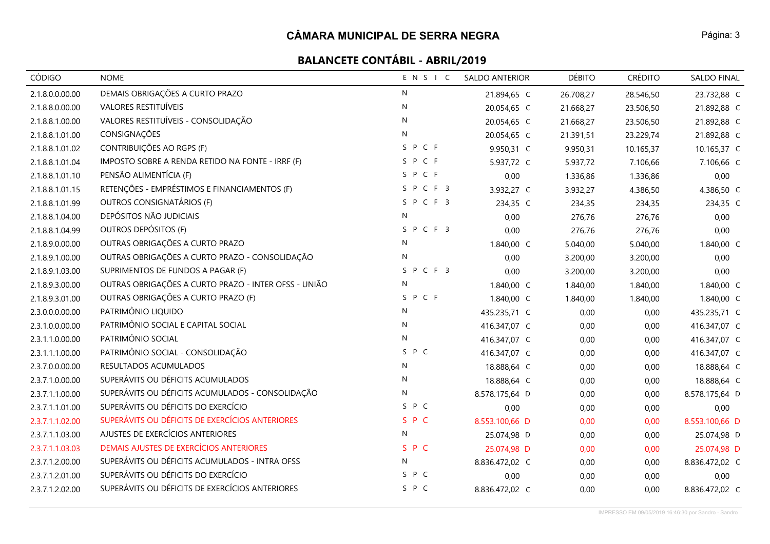| CÓDIGO          | <b>NOME</b>                                          | ENSIC        | <b>SALDO ANTERIOR</b> | <b>DÉBITO</b> | <b>CRÉDITO</b> | <b>SALDO FINAL</b> |
|-----------------|------------------------------------------------------|--------------|-----------------------|---------------|----------------|--------------------|
| 2.1.8.0.0.00.00 | DEMAIS OBRIGAÇÕES A CURTO PRAZO                      | N            | 21.894,65 C           | 26.708,27     | 28.546,50      | 23.732,88 C        |
| 2.1.8.8.0.00.00 | <b>VALORES RESTITUÍVEIS</b>                          | N            | 20.054,65 C           | 21.668,27     | 23.506,50      | 21.892,88 C        |
| 2.1.8.8.1.00.00 | VALORES RESTITUÍVEIS - CONSOLIDAÇÃO                  | N            | 20.054,65 C           | 21.668,27     | 23.506,50      | 21.892,88 C        |
| 2.1.8.8.1.01.00 | CONSIGNAÇÕES                                         | N            | 20.054,65 C           | 21.391,51     | 23.229,74      | 21.892,88 C        |
| 2.1.8.8.1.01.02 | CONTRIBUIÇÕES AO RGPS (F)                            | SPCF         | 9.950,31 C            | 9.950,31      | 10.165,37      | 10.165,37 C        |
| 2.1.8.8.1.01.04 | IMPOSTO SOBRE A RENDA RETIDO NA FONTE - IRRF (F)     | SPCF         | 5.937,72 C            | 5.937,72      | 7.106,66       | 7.106,66 C         |
| 2.1.8.8.1.01.10 | PENSÃO ALIMENTÍCIA (F)                               | SPCF         | 0,00                  | 1.336,86      | 1.336,86       | 0,00               |
| 2.1.8.8.1.01.15 | RETENÇÕES - EMPRÉSTIMOS E FINANCIAMENTOS (F)         | SPCF3        | 3.932,27 C            | 3.932,27      | 4.386,50       | 4.386,50 C         |
| 2.1.8.8.1.01.99 | OUTROS CONSIGNATÁRIOS (F)                            | SPCF3        | 234,35 C              | 234,35        | 234,35         | 234,35 C           |
| 2.1.8.8.1.04.00 | DEPÓSITOS NÃO JUDICIAIS                              | N            | 0,00                  | 276,76        | 276,76         | 0,00               |
| 2.1.8.8.1.04.99 | OUTROS DEPÓSITOS (F)                                 | SPCF3        | 0,00                  | 276,76        | 276,76         | 0,00               |
| 2.1.8.9.0.00.00 | OUTRAS OBRIGAÇÕES A CURTO PRAZO                      | N            | 1.840,00 C            | 5.040,00      | 5.040,00       | 1.840,00 C         |
| 2.1.8.9.1.00.00 | OUTRAS OBRIGAÇÕES A CURTO PRAZO - CONSOLIDAÇÃO       | N            | 0,00                  | 3.200,00      | 3.200,00       | 0,00               |
| 2.1.8.9.1.03.00 | SUPRIMENTOS DE FUNDOS A PAGAR (F)                    | SPCF3        | 0,00                  | 3.200,00      | 3.200,00       | 0,00               |
| 2.1.8.9.3.00.00 | OUTRAS OBRIGAÇÕES A CURTO PRAZO - INTER OFSS - UNIÃO | N            | 1.840,00 C            | 1.840,00      | 1.840,00       | 1.840,00 C         |
| 2.1.8.9.3.01.00 | OUTRAS OBRIGAÇÕES A CURTO PRAZO (F)                  | SPCF         | 1.840,00 C            | 1.840,00      | 1.840,00       | 1.840,00 C         |
| 2.3.0.0.0.00.00 | PATRIMÔNIO LIQUIDO                                   | N            | 435.235,71 C          | 0,00          | 0,00           | 435.235,71 C       |
| 2.3.1.0.0.00.00 | PATRIMÔNIO SOCIAL E CAPITAL SOCIAL                   | $\mathsf{N}$ | 416.347,07 C          | 0,00          | 0,00           | 416.347,07 C       |
| 2.3.1.1.0.00.00 | PATRIMÔNIO SOCIAL                                    | ${\sf N}$    | 416.347,07 C          | 0,00          | 0,00           | 416.347,07 C       |
| 2.3.1.1.1.00.00 | PATRIMÔNIO SOCIAL - CONSOLIDAÇÃO                     | S P C        | 416.347,07 C          | 0,00          | 0,00           | 416.347,07 C       |
| 2.3.7.0.0.00.00 | RESULTADOS ACUMULADOS                                | N            | 18.888,64 C           | 0,00          | 0,00           | 18.888,64 C        |
| 2.3.7.1.0.00.00 | SUPERÁVITS OU DÉFICITS ACUMULADOS                    | N            | 18.888,64 C           | 0,00          | 0,00           | 18.888,64 C        |
| 2.3.7.1.1.00.00 | SUPERÁVITS OU DÉFICITS ACUMULADOS - CONSOLIDAÇÃO     | N            | 8.578.175,64 D        | 0,00          | 0,00           | 8.578.175,64 D     |
| 2.3.7.1.1.01.00 | SUPERÁVITS OU DÉFICITS DO EXERCÍCIO                  | S P C        | 0,00                  | 0,00          | 0,00           | 0,00               |
| 2.3.7.1.1.02.00 | SUPERÁVITS OU DÉFICITS DE EXERCÍCIOS ANTERIORES      | S P C        | 8.553.100,66 D        | 0,00          | 0,00           | 8.553.100,66 D     |
| 2.3.7.1.1.03.00 | AJUSTES DE EXERCÍCIOS ANTERIORES                     | $\mathsf{N}$ | 25.074,98 D           | 0,00          | 0,00           | 25.074,98 D        |
| 2.3.7.1.1.03.03 | DEMAIS AJUSTES DE EXERCÍCIOS ANTERIORES              | S P C        | 25.074,98 D           | 0,00          | 0,00           | 25.074,98 D        |
| 2.3.7.1.2.00.00 | SUPERÁVITS OU DÉFICITS ACUMULADOS - INTRA OFSS       | N            | 8.836.472,02 C        | 0,00          | 0,00           | 8.836.472,02 C     |
| 2.3.7.1.2.01.00 | SUPERÁVITS OU DÉFICITS DO EXERCÍCIO                  | SPC          | 0,00                  | 0,00          | 0,00           | 0,00               |
| 2.3.7.1.2.02.00 | SUPERÁVITS OU DÉFICITS DE EXERCÍCIOS ANTERIORES      | S P C        | 8.836.472,02 C        | 0,00          | 0,00           | 8.836.472,02 C     |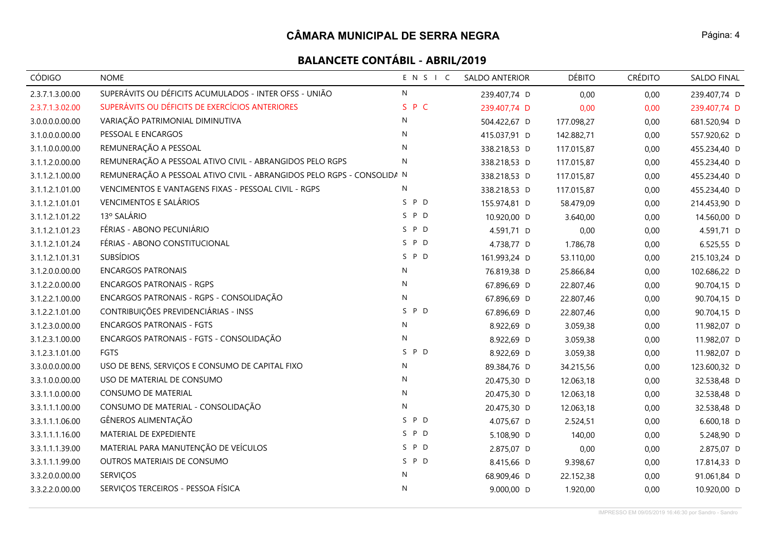### **CÂMARA MUNICIPAL DE SERRA NEGRA**

| CÓDIGO          | <b>NOME</b>                                                            | ENSIC     | <b>SALDO ANTERIOR</b> | <b>DÉBITO</b> | <b>CRÉDITO</b> | SALDO FINAL  |
|-----------------|------------------------------------------------------------------------|-----------|-----------------------|---------------|----------------|--------------|
| 2.3.7.1.3.00.00 | SUPERÁVITS OU DÉFICITS ACUMULADOS - INTER OFSS - UNIÃO                 | N         | 239.407,74 D          | 0,00          | 0,00           | 239.407,74 D |
| 2.3.7.1.3.02.00 | SUPERÁVITS OU DÉFICITS DE EXERCÍCIOS ANTERIORES                        | S P C     | 239.407,74 D          | 0,00          | 0,00           | 239.407,74 D |
| 3.0.0.0.0.00.00 | VARIAÇÃO PATRIMONIAL DIMINUTIVA                                        | N         | 504.422,67 D          | 177.098,27    | 0,00           | 681.520,94 D |
| 3.1.0.0.0.00.00 | PESSOAL E ENCARGOS                                                     | N         | 415.037,91 D          | 142.882,71    | 0,00           | 557.920,62 D |
| 3.1.1.0.0.00.00 | REMUNERAÇÃO A PESSOAL                                                  | N         | 338.218,53 D          | 117.015,87    | 0,00           | 455.234,40 D |
| 3.1.1.2.0.00.00 | REMUNERAÇÃO A PESSOAL ATIVO CIVIL - ABRANGIDOS PELO RGPS               | N         | 338.218,53 D          | 117.015,87    | 0,00           | 455.234,40 D |
| 3.1.1.2.1.00.00 | REMUNERAÇÃO A PESSOAL ATIVO CIVIL - ABRANGIDOS PELO RGPS - CONSOLIDA N |           | 338.218,53 D          | 117.015,87    | 0,00           | 455.234,40 D |
| 3.1.1.2.1.01.00 | VENCIMENTOS E VANTAGENS FIXAS - PESSOAL CIVIL - RGPS                   | N         | 338.218,53 D          | 117.015,87    | 0,00           | 455.234,40 D |
| 3.1.1.2.1.01.01 | <b>VENCIMENTOS E SALÁRIOS</b>                                          | S P D     | 155.974,81 D          | 58.479,09     | 0,00           | 214.453,90 D |
| 3.1.1.2.1.01.22 | 13º SALÁRIO                                                            | S.<br>P D | 10.920,00 D           | 3.640,00      | 0,00           | 14.560,00 D  |
| 3.1.1.2.1.01.23 | FÉRIAS - ABONO PECUNIÁRIO                                              | P D<br>S  | 4.591,71 D            | 0,00          | 0,00           | 4.591,71 D   |
| 3.1.1.2.1.01.24 | FÉRIAS - ABONO CONSTITUCIONAL                                          | S P D     | 4.738,77 D            | 1.786,78      | 0,00           | 6.525,55 D   |
| 3.1.1.2.1.01.31 | <b>SUBSÍDIOS</b>                                                       | S P D     | 161.993,24 D          | 53.110,00     | 0,00           | 215.103,24 D |
| 3.1.2.0.0.00.00 | <b>ENCARGOS PATRONAIS</b>                                              | N         | 76.819,38 D           | 25.866,84     | 0,00           | 102.686,22 D |
| 3.1.2.2.0.00.00 | <b>ENCARGOS PATRONAIS - RGPS</b>                                       | N         | 67.896,69 D           | 22.807,46     | 0,00           | 90.704,15 D  |
| 3.1.2.2.1.00.00 | ENCARGOS PATRONAIS - RGPS - CONSOLIDAÇÃO                               | N         | 67.896,69 D           | 22.807,46     | 0,00           | 90.704,15 D  |
| 3.1.2.2.1.01.00 | CONTRIBUIÇÕES PREVIDENCIÁRIAS - INSS                                   | S.<br>P D | 67.896,69 D           | 22.807,46     | 0,00           | 90.704,15 D  |
| 3.1.2.3.0.00.00 | <b>ENCARGOS PATRONAIS - FGTS</b>                                       | N         | 8.922,69 D            | 3.059,38      | 0,00           | 11.982,07 D  |
| 3.1.2.3.1.00.00 | ENCARGOS PATRONAIS - FGTS - CONSOLIDAÇÃO                               | N         | 8.922,69 D            | 3.059,38      | 0,00           | 11.982,07 D  |
| 3.1.2.3.1.01.00 | <b>FGTS</b>                                                            | S P D     | 8.922,69 D            | 3.059,38      | 0,00           | 11.982,07 D  |
| 3.3.0.0.0.00.00 | USO DE BENS, SERVIÇOS E CONSUMO DE CAPITAL FIXO                        | N         | 89.384,76 D           | 34.215,56     | 0,00           | 123.600,32 D |
| 3.3.1.0.0.00.00 | USO DE MATERIAL DE CONSUMO                                             | N         | 20.475,30 D           | 12.063,18     | 0,00           | 32.538,48 D  |
| 3.3.1.1.0.00.00 | <b>CONSUMO DE MATERIAL</b>                                             | N         | 20.475,30 D           | 12.063,18     | 0,00           | 32.538,48 D  |
| 3.3.1.1.1.00.00 | CONSUMO DE MATERIAL - CONSOLIDAÇÃO                                     | N         | 20.475,30 D           | 12.063,18     | 0,00           | 32.538,48 D  |
| 3.3.1.1.1.06.00 | GÊNEROS ALIMENTAÇÃO                                                    | S P D     | 4.075,67 D            | 2.524,51      | 0,00           | 6.600,18 D   |
| 3.3.1.1.1.16.00 | MATERIAL DE EXPEDIENTE                                                 | S<br>P D  | 5.108,90 D            | 140,00        | 0,00           | 5.248,90 D   |
| 3.3.1.1.1.39.00 | MATERIAL PARA MANUTENÇÃO DE VEÍCULOS                                   | S P D     | 2.875,07 D            | 0,00          | 0,00           | 2.875,07 D   |
| 3.3.1.1.1.99.00 | OUTROS MATERIAIS DE CONSUMO                                            | S P D     | 8.415,66 D            | 9.398,67      | 0,00           | 17.814,33 D  |
| 3.3.2.0.0.00.00 | SERVIÇOS                                                               | N         | 68.909,46 D           | 22.152,38     | 0,00           | 91.061,84 D  |
| 3.3.2.2.0.00.00 | SERVIÇOS TERCEIROS - PESSOA FÍSICA                                     | N         | 9.000,00 D            | 1.920,00      | 0,00           | 10.920,00 D  |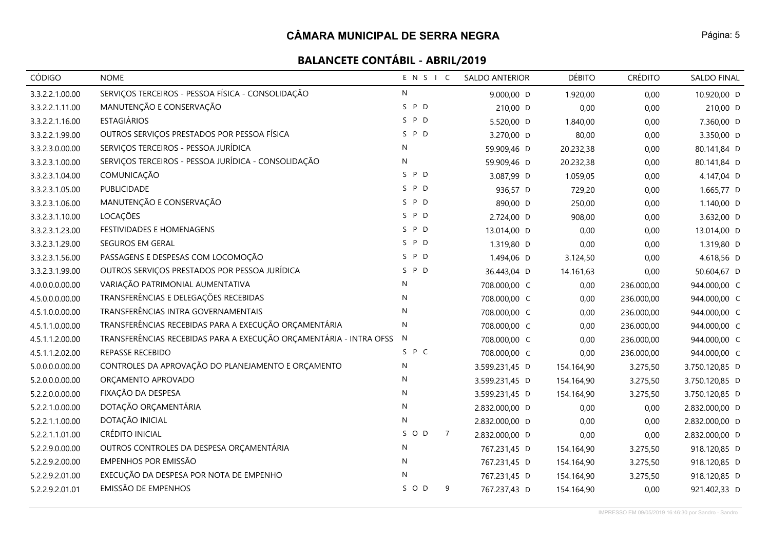| CÓDIGO          | <b>NOME</b>                                                        | ENSIC                 | <b>SALDO ANTERIOR</b> | <b>DÉBITO</b> | <b>CRÉDITO</b> | <b>SALDO FINAL</b> |
|-----------------|--------------------------------------------------------------------|-----------------------|-----------------------|---------------|----------------|--------------------|
| 3.3.2.2.1.00.00 | SERVIÇOS TERCEIROS - PESSOA FÍSICA - CONSOLIDAÇÃO                  | $\mathsf{N}$          | 9.000,00 D            | 1.920,00      | 0,00           | 10.920,00 D        |
| 3.3.2.2.1.11.00 | MANUTENÇÃO E CONSERVAÇÃO                                           | P D<br>S.             | 210,00 D              | 0,00          | 0,00           | 210,00 D           |
| 3.3.2.2.1.16.00 | <b>ESTAGIÁRIOS</b>                                                 | S P D                 | 5.520,00 D            | 1.840,00      | 0,00           | 7.360,00 D         |
| 3.3.2.2.1.99.00 | OUTROS SERVIÇOS PRESTADOS POR PESSOA FÍSICA                        | P D<br>S.             | 3.270,00 D            | 80,00         | 0,00           | 3.350,00 D         |
| 3.3.2.3.0.00.00 | SERVIÇOS TERCEIROS - PESSOA JURÍDICA                               | $\mathsf{N}$          | 59.909,46 D           | 20.232,38     | 0,00           | 80.141,84 D        |
| 3.3.2.3.1.00.00 | SERVIÇOS TERCEIROS - PESSOA JURÍDICA - CONSOLIDAÇÃO                | $\mathsf{N}$          | 59.909,46 D           | 20.232,38     | 0,00           | 80.141,84 D        |
| 3.3.2.3.1.04.00 | COMUNICAÇÃO                                                        | S P D                 | 3.087,99 D            | 1.059,05      | 0,00           | 4.147,04 D         |
| 3.3.2.3.1.05.00 | PUBLICIDADE                                                        | S P D                 | 936,57 D              | 729,20        | 0,00           | 1.665,77 D         |
| 3.3.2.3.1.06.00 | MANUTENÇÃO E CONSERVAÇÃO                                           | S P D                 | 890,00 D              | 250,00        | 0,00           | 1.140,00 D         |
| 3.3.2.3.1.10.00 | LOCAÇÕES                                                           | S.<br>P D             | 2.724,00 D            | 908,00        | 0,00           | 3.632,00 D         |
| 3.3.2.3.1.23.00 | FESTIVIDADES E HOMENAGENS                                          | S P D                 | 13.014,00 D           | 0,00          | 0,00           | 13.014,00 D        |
| 3.3.2.3.1.29.00 | SEGUROS EM GERAL                                                   | S P D                 | 1.319,80 D            | 0,00          | 0,00           | 1.319,80 D         |
| 3.3.2.3.1.56.00 | PASSAGENS E DESPESAS COM LOCOMOÇÃO                                 | S P D                 | 1.494,06 D            | 3.124,50      | 0,00           | 4.618,56 D         |
| 3.3.2.3.1.99.00 | OUTROS SERVIÇOS PRESTADOS POR PESSOA JURÍDICA                      | S P D                 | 36.443,04 D           | 14.161,63     | 0,00           | 50.604,67 D        |
| 4.0.0.0.0.00.00 | VARIAÇÃO PATRIMONIAL AUMENTATIVA                                   | N                     | 708.000,00 C          | 0,00          | 236.000,00     | 944.000,00 C       |
| 4.5.0.0.0.00.00 | TRANSFERÊNCIAS E DELEGAÇÕES RECEBIDAS                              | $\mathsf{N}$          | 708.000,00 C          | 0,00          | 236.000,00     | 944.000,00 C       |
| 4.5.1.0.0.00.00 | TRANSFERÊNCIAS INTRA GOVERNAMENTAIS                                | N                     | 708.000,00 C          | 0,00          | 236.000,00     | 944.000,00 C       |
| 4.5.1.1.0.00.00 | TRANSFERÊNCIAS RECEBIDAS PARA A EXECUÇÃO ORÇAMENTÁRIA              | $\mathsf{N}$          | 708.000,00 C          | 0,00          | 236.000,00     | 944.000,00 C       |
| 4.5.1.1.2.00.00 | TRANSFERÊNCIAS RECEBIDAS PARA A EXECUÇÃO ORÇAMENTÁRIA - INTRA OFSS | N                     | 708.000,00 C          | 0,00          | 236.000,00     | 944.000,00 C       |
| 4.5.1.1.2.02.00 | REPASSE RECEBIDO                                                   | S P C                 | 708.000,00 C          | 0,00          | 236.000,00     | 944.000,00 C       |
| 5.0.0.0.0.00.00 | CONTROLES DA APROVAÇÃO DO PLANEJAMENTO E ORÇAMENTO                 | $\mathsf{N}$          | 3.599.231,45 D        | 154.164,90    | 3.275,50       | 3.750.120,85 D     |
| 5.2.0.0.0.00.00 | ORÇAMENTO APROVADO                                                 | N                     | 3.599.231,45 D        | 154.164,90    | 3.275,50       | 3.750.120,85 D     |
| 5.2.2.0.0.00.00 | FIXAÇÃO DA DESPESA                                                 | N                     | 3.599.231,45 D        | 154.164,90    | 3.275,50       | 3.750.120,85 D     |
| 5.2.2.1.0.00.00 | DOTAÇÃO ORÇAMENTÁRIA                                               | $\mathsf{N}$          | 2.832.000,00 D        | 0,00          | 0,00           | 2.832.000,00 D     |
| 5.2.2.1.1.00.00 | DOTAÇÃO INICIAL                                                    | $\mathsf{N}$          | 2.832.000,00 D        | 0,00          | 0,00           | 2.832.000,00 D     |
| 5.2.2.1.1.01.00 | CRÉDITO INICIAL                                                    | SOD<br>$\overline{7}$ | 2.832.000,00 D        | 0,00          | 0,00           | 2.832.000,00 D     |
| 5.2.2.9.0.00.00 | OUTROS CONTROLES DA DESPESA ORÇAMENTÁRIA                           | N                     | 767.231,45 D          | 154.164,90    | 3.275,50       | 918.120,85 D       |
| 5.2.2.9.2.00.00 | EMPENHOS POR EMISSÃO                                               | $\mathsf{N}$          | 767.231,45 D          | 154.164,90    | 3.275,50       | 918.120,85 D       |
| 5.2.2.9.2.01.00 | EXECUÇÃO DA DESPESA POR NOTA DE EMPENHO                            | $\mathsf{N}$          | 767.231,45 D          | 154.164,90    | 3.275,50       | 918.120,85 D       |
| 5.2.2.9.2.01.01 | <b>EMISSÃO DE EMPENHOS</b>                                         | S O D<br>9            | 767.237,43 D          | 154.164,90    | 0,00           | 921.402,33 D       |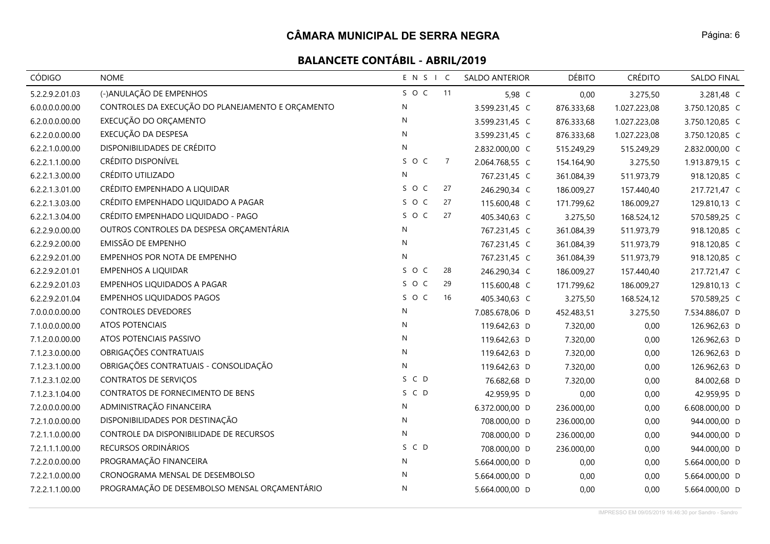| CÓDIGO          | <b>NOME</b>                                       | ENSIC        |                | SALDO ANTERIOR | <b>DÉBITO</b> | <b>CRÉDITO</b> | SALDO FINAL    |
|-----------------|---------------------------------------------------|--------------|----------------|----------------|---------------|----------------|----------------|
| 5.2.2.9.2.01.03 | (-)ANULAÇÃO DE EMPENHOS                           | SOC          | 11             | 5,98 C         | 0,00          | 3.275,50       | 3.281,48 C     |
| 6.0.0.0.0.00.00 | CONTROLES DA EXECUÇÃO DO PLANEJAMENTO E ORÇAMENTO | ${\sf N}$    |                | 3.599.231,45 C | 876.333,68    | 1.027.223,08   | 3.750.120,85 C |
| 6.2.0.0.0.00.00 | EXECUÇÃO DO ORÇAMENTO                             | N            |                | 3.599.231,45 C | 876.333,68    | 1.027.223,08   | 3.750.120,85 C |
| 6.2.2.0.0.00.00 | EXECUÇÃO DA DESPESA                               | N            |                | 3.599.231,45 C | 876.333,68    | 1.027.223,08   | 3.750.120,85 C |
| 6.2.2.1.0.00.00 | DISPONIBILIDADES DE CRÉDITO                       | $\mathsf{N}$ |                | 2.832.000,00 C | 515.249,29    | 515.249,29     | 2.832.000,00 C |
| 6.2.2.1.1.00.00 | CRÉDITO DISPONÍVEL                                | SOC          | $\overline{7}$ | 2.064.768,55 C | 154.164,90    | 3.275,50       | 1.913.879,15 C |
| 6.2.2.1.3.00.00 | CRÉDITO UTILIZADO                                 | N            |                | 767.231,45 C   | 361.084,39    | 511.973,79     | 918.120,85 C   |
| 6.2.2.1.3.01.00 | CRÉDITO EMPENHADO A LIQUIDAR                      | SOC          | 27             | 246.290,34 C   | 186.009,27    | 157.440,40     | 217.721,47 C   |
| 6.2.2.1.3.03.00 | CRÉDITO EMPENHADO LIQUIDADO A PAGAR               | SOC          | 27             | 115.600,48 C   | 171.799,62    | 186.009,27     | 129.810,13 C   |
| 6.2.2.1.3.04.00 | CRÉDITO EMPENHADO LIQUIDADO - PAGO                | SOC          | 27             | 405.340,63 C   | 3.275,50      | 168.524,12     | 570.589,25 C   |
| 6.2.2.9.0.00.00 | OUTROS CONTROLES DA DESPESA ORÇAMENTÁRIA          | ${\sf N}$    |                | 767.231,45 C   | 361.084,39    | 511.973,79     | 918.120,85 C   |
| 6.2.2.9.2.00.00 | EMISSÃO DE EMPENHO                                | N            |                | 767.231,45 C   | 361.084,39    | 511.973,79     | 918.120,85 C   |
| 6.2.2.9.2.01.00 | EMPENHOS POR NOTA DE EMPENHO                      | ${\sf N}$    |                | 767.231,45 C   | 361.084,39    | 511.973,79     | 918.120,85 C   |
| 6.2.2.9.2.01.01 | <b>EMPENHOS A LIQUIDAR</b>                        | SOC          | 28             | 246.290,34 C   | 186.009,27    | 157.440,40     | 217.721,47 C   |
| 6.2.2.9.2.01.03 | EMPENHOS LIQUIDADOS A PAGAR                       | SOC          | 29             | 115.600,48 C   | 171.799,62    | 186.009,27     | 129.810,13 C   |
| 6.2.2.9.2.01.04 | <b>EMPENHOS LIQUIDADOS PAGOS</b>                  | SOC          | 16             | 405.340,63 C   | 3.275,50      | 168.524,12     | 570.589,25 C   |
| 7.0.0.0.0.00.00 | CONTROLES DEVEDORES                               | N            |                | 7.085.678,06 D | 452.483,51    | 3.275,50       | 7.534.886,07 D |
| 7.1.0.0.0.00.00 | <b>ATOS POTENCIAIS</b>                            | ${\sf N}$    |                | 119.642,63 D   | 7.320,00      | 0,00           | 126.962,63 D   |
| 7.1.2.0.0.00.00 | ATOS POTENCIAIS PASSIVO                           | N            |                | 119.642,63 D   | 7.320,00      | 0,00           | 126.962,63 D   |
| 7.1.2.3.0.00.00 | OBRIGAÇÕES CONTRATUAIS                            | ${\sf N}$    |                | 119.642,63 D   | 7.320,00      | 0,00           | 126.962,63 D   |
| 7.1.2.3.1.00.00 | OBRIGAÇÕES CONTRATUAIS - CONSOLIDAÇÃO             | ${\sf N}$    |                | 119.642,63 D   | 7.320,00      | 0,00           | 126.962,63 D   |
| 7.1.2.3.1.02.00 | CONTRATOS DE SERVIÇOS                             | S C D        |                | 76.682,68 D    | 7.320,00      | 0,00           | 84.002,68 D    |
| 7.1.2.3.1.04.00 | CONTRATOS DE FORNECIMENTO DE BENS                 | S C D        |                | 42.959,95 D    | 0,00          | 0,00           | 42.959,95 D    |
| 7.2.0.0.0.00.00 | ADMINISTRAÇÃO FINANCEIRA                          | N            |                | 6.372.000,00 D | 236.000,00    | 0,00           | 6.608.000,00 D |
| 7.2.1.0.0.00.00 | DISPONIBILIDADES POR DESTINAÇÃO                   | ${\sf N}$    |                | 708.000,00 D   | 236.000,00    | 0,00           | 944.000,00 D   |
| 7.2.1.1.0.00.00 | CONTROLE DA DISPONIBILIDADE DE RECURSOS           | ${\sf N}$    |                | 708.000,00 D   | 236.000,00    | 0,00           | 944.000,00 D   |
| 7.2.1.1.1.00.00 | RECURSOS ORDINÁRIOS                               | S C D        |                | 708.000,00 D   | 236.000,00    | 0,00           | 944.000,00 D   |
| 7.2.2.0.0.00.00 | PROGRAMAÇÃO FINANCEIRA                            | $\mathsf{N}$ |                | 5.664.000,00 D | 0,00          | 0,00           | 5.664.000,00 D |
| 7.2.2.1.0.00.00 | CRONOGRAMA MENSAL DE DESEMBOLSO                   | $\mathsf{N}$ |                | 5.664.000,00 D | 0,00          | 0,00           | 5.664.000,00 D |
| 7.2.2.1.1.00.00 | PROGRAMAÇÃO DE DESEMBOLSO MENSAL ORÇAMENTÁRIO     | ${\sf N}$    |                | 5.664.000,00 D | 0,00          | 0,00           | 5.664.000,00 D |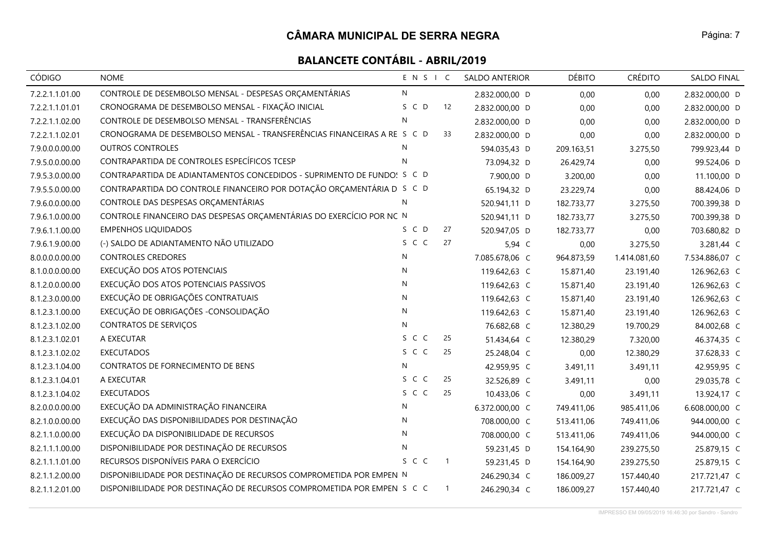### **CÂMARA MUNICIPAL DE SERRA NEGRA**

| <b>CÓDIGO</b>   | <b>NOME</b>                                                             | ENSIC        |                | <b>SALDO ANTERIOR</b> | <b>DÉBITO</b> | <b>CRÉDITO</b> | <b>SALDO FINAL</b> |
|-----------------|-------------------------------------------------------------------------|--------------|----------------|-----------------------|---------------|----------------|--------------------|
| 7.2.2.1.1.01.00 | CONTROLE DE DESEMBOLSO MENSAL - DESPESAS ORÇAMENTÁRIAS                  | N            |                | 2.832.000,00 D        | 0,00          | 0,00           | 2.832.000,00 D     |
| 7.2.2.1.1.01.01 | CRONOGRAMA DE DESEMBOLSO MENSAL - FIXAÇÃO INICIAL                       | S C D        | 12             | 2.832.000,00 D        | 0,00          | 0,00           | 2.832.000,00 D     |
| 7.2.2.1.1.02.00 | CONTROLE DE DESEMBOLSO MENSAL - TRANSFERÊNCIAS                          | $\mathsf{N}$ |                | 2.832.000,00 D        | 0,00          | 0,00           | 2.832.000,00 D     |
| 7.2.2.1.1.02.01 | CRONOGRAMA DE DESEMBOLSO MENSAL - TRANSFERÊNCIAS FINANCEIRAS A RE S C D |              | 33             | 2.832.000,00 D        | 0,00          | 0,00           | 2.832.000,00 D     |
| 7.9.0.0.0.00.00 | <b>OUTROS CONTROLES</b>                                                 | N            |                | 594.035,43 D          | 209.163,51    | 3.275,50       | 799.923,44 D       |
| 7.9.5.0.0.00.00 | CONTRAPARTIDA DE CONTROLES ESPECÍFICOS TCESP                            | N            |                | 73.094,32 D           | 26.429,74     | 0,00           | 99.524,06 D        |
| 7.9.5.3.0.00.00 | CONTRAPARTIDA DE ADIANTAMENTOS CONCEDIDOS - SUPRIMENTO DE FUNDO: S C D  |              |                | 7.900,00 D            | 3.200,00      | 0,00           | 11.100,00 D        |
| 7.9.5.5.0.00.00 | CONTRAPARTIDA DO CONTROLE FINANCEIRO POR DOTAÇÃO ORÇAMENTÁRIA D S C D   |              |                | 65.194,32 D           | 23.229,74     | 0,00           | 88.424,06 D        |
| 7.9.6.0.0.00.00 | CONTROLE DAS DESPESAS ORÇAMENTÁRIAS                                     | N            |                | 520.941,11 D          | 182.733,77    | 3.275,50       | 700.399,38 D       |
| 7.9.6.1.0.00.00 | CONTROLE FINANCEIRO DAS DESPESAS ORÇAMENTÁRIAS DO EXERCÍCIO POR NC N    |              |                | 520.941,11 D          | 182.733,77    | 3.275,50       | 700.399,38 D       |
| 7.9.6.1.1.00.00 | <b>EMPENHOS LIQUIDADOS</b>                                              | S C D        | 27             | 520.947,05 D          | 182.733,77    | 0,00           | 703.680,82 D       |
| 7.9.6.1.9.00.00 | (-) SALDO DE ADIANTAMENTO NÃO UTILIZADO                                 | S C C        | 27             | 5,94 C                | 0,00          | 3.275,50       | 3.281,44 C         |
| 8.0.0.0.0.00.00 | <b>CONTROLES CREDORES</b>                                               | N            |                | 7.085.678,06 C        | 964.873,59    | 1.414.081,60   | 7.534.886,07 C     |
| 8.1.0.0.0.00.00 | EXECUÇÃO DOS ATOS POTENCIAIS                                            | N            |                | 119.642,63 C          | 15.871,40     | 23.191,40      | 126.962,63 C       |
| 8.1.2.0.0.00.00 | EXECUÇÃO DOS ATOS POTENCIAIS PASSIVOS                                   | N            |                | 119.642,63 C          | 15.871,40     | 23.191,40      | 126.962,63 C       |
| 8.1.2.3.0.00.00 | EXECUÇÃO DE OBRIGAÇÕES CONTRATUAIS                                      | N            |                | 119.642,63 C          | 15.871,40     | 23.191,40      | 126.962,63 C       |
| 8.1.2.3.1.00.00 | EXECUÇÃO DE OBRIGAÇÕES - CONSOLIDAÇÃO                                   | $\mathsf{N}$ |                | 119.642,63 C          | 15.871,40     | 23.191,40      | 126.962,63 C       |
| 8.1.2.3.1.02.00 | <b>CONTRATOS DE SERVIÇOS</b>                                            | N            |                | 76.682,68 C           | 12.380,29     | 19.700,29      | 84.002,68 C        |
| 8.1.2.3.1.02.01 | A EXECUTAR                                                              | S C C        | 25             | 51.434,64 C           | 12.380,29     | 7.320,00       | 46.374,35 C        |
| 8.1.2.3.1.02.02 | <b>EXECUTADOS</b>                                                       | S C C        | 25             | 25.248,04 C           | 0,00          | 12.380,29      | 37.628,33 C        |
| 8.1.2.3.1.04.00 | CONTRATOS DE FORNECIMENTO DE BENS                                       | N            |                | 42.959,95 C           | 3.491,11      | 3.491,11       | 42.959,95 C        |
| 8.1.2.3.1.04.01 | A EXECUTAR                                                              | S C C        | 25             | 32.526,89 C           | 3.491,11      | 0,00           | 29.035,78 C        |
| 8.1.2.3.1.04.02 | <b>EXECUTADOS</b>                                                       | S C C        | 25             | 10.433,06 C           | 0,00          | 3.491,11       | 13.924,17 C        |
| 8.2.0.0.0.00.00 | EXECUÇÃO DA ADMINISTRAÇÃO FINANCEIRA                                    | N            |                | 6.372.000,00 C        | 749.411,06    | 985.411,06     | 6.608.000,00 C     |
| 8.2.1.0.0.00.00 | EXECUÇÃO DAS DISPONIBILIDADES POR DESTINAÇÃO                            | $\mathsf{N}$ |                | 708.000,00 C          | 513.411,06    | 749.411,06     | 944.000,00 C       |
| 8.2.1.1.0.00.00 | EXECUÇÃO DA DISPONIBILIDADE DE RECURSOS                                 | N            |                | 708.000,00 C          | 513.411,06    | 749.411,06     | 944.000,00 C       |
| 8.2.1.1.1.00.00 | DISPONIBILIDADE POR DESTINAÇÃO DE RECURSOS                              | N            |                | 59.231,45 D           | 154.164,90    | 239.275,50     | 25.879,15 C        |
| 8.2.1.1.1.01.00 | RECURSOS DISPONÍVEIS PARA O EXERCÍCIO                                   | S C C        | $\overline{1}$ | 59.231,45 D           | 154.164,90    | 239.275,50     | 25.879,15 C        |
| 8.2.1.1.2.00.00 | DISPONIBILIDADE POR DESTINAÇÃO DE RECURSOS COMPROMETIDA POR EMPEN N     |              |                | 246.290,34 C          | 186.009,27    | 157.440,40     | 217.721,47 C       |
| 8.2.1.1.2.01.00 | DISPONIBILIDADE POR DESTINAÇÃO DE RECURSOS COMPROMETIDA POR EMPEN S C C |              | $\overline{1}$ | 246.290,34 C          | 186.009,27    | 157.440,40     | 217.721,47 C       |